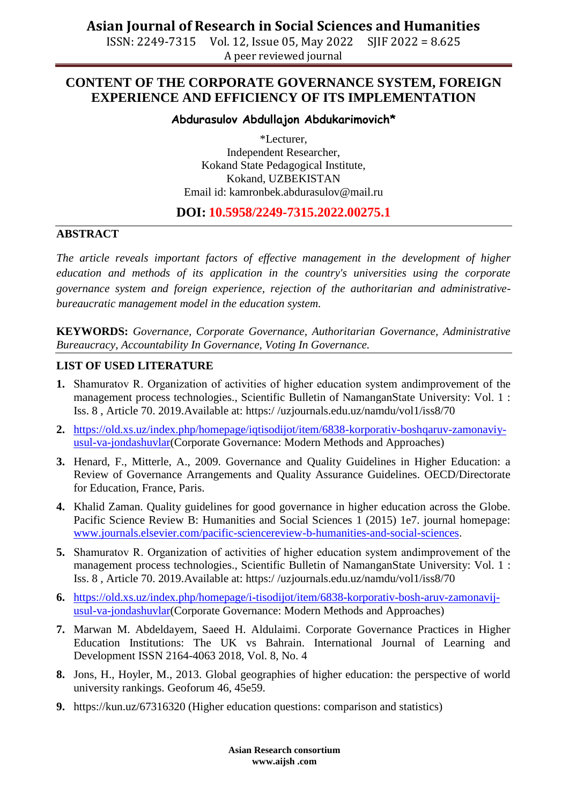ISSN: 2249-7315 Vol. 12, Issue 05, May 2022 SJIF 2022 = 8.625 A peer reviewed journal

## **CONTENT OF THE CORPORATE GOVERNANCE SYSTEM, FOREIGN EXPERIENCE AND EFFICIENCY OF ITS IMPLEMENTATION**

#### **Abdurasulov Abdullajon Abdukarimovich\***

\*Lecturer, Independent Researcher, Kokand State Pedagogical Institute, Kokand, UZBEKISTAN Email id: [kamronbek.abdurasulov@mail.ru](mailto:kamronbek.abdurasulov@mail.ru)

### **DOI: 10.5958/2249-7315.2022.00275.1**

#### **ABSTRACT**

*The article reveals important factors of effective management in the development of higher education and methods of its application in the country's universities using the corporate governance system and foreign experience, rejection of the authoritarian and administrativebureaucratic management model in the education system.*

**KEYWORDS:** *Governance, Corporate Governance, Authoritarian Governance, Administrative Bureaucracy, Accountability In Governance, Voting In Governance.*

#### **LIST OF USED LITERATURE**

- **1.** Shamuratov R. Оrganization of activities of higher education system andimprovement of the management process technologies., Scientific Bulletin of NamanganState University: Vol. 1 : Iss. 8 , Article 70. 2019.Available at: https:/ /uzjournals.edu.uz/namdu/vol1/iss8/70
- **2.** [https://old.xs.uz/index.php/homepage/iqtisodijot/item/6838-korporativ-boshqaruv-zamonaviy](https://old.xs.uz/index.php/homepage/iqtisodijot/item/6838-korporativ-boshqaruv-zamonaviy-usul-va-jondashuvlar)[usul-va-jondashuvlar\(](https://old.xs.uz/index.php/homepage/iqtisodijot/item/6838-korporativ-boshqaruv-zamonaviy-usul-va-jondashuvlar)Corporate Governance: Modern Methods and Approaches)
- **3.** Henard, F., Mitterle, A., 2009. Governance and Quality Guidelines in Higher Education: a Review of Governance Arrangements and Quality Assurance Guidelines. OECD/Directorate for Education, France, Paris.
- **4.** Khalid Zaman. Quality guidelines for good governance in higher education across the Globe. Pacific Science Review B: Humanities and Social Sciences 1 (2015) 1e7. journal homepage: [www.journals.elsevier.com/pacific-sciencereview-b-humanities-and-social-sciences.](http://www.journals.elsevier.com/pacific-sciencereview-b-humanities-and-social-sciences)
- **5.** Shamuratov R. Оrganization of activities of higher education system andimprovement of the management process technologies., Scientific Bulletin of NamanganState University: Vol. 1 : Iss. 8 , Article 70. 2019.Available at: https:/ /uzjournals.edu.uz/namdu/vol1/iss8/70
- **6.** [https://old.xs.uz/index.php/homepage/i-tisodijot/item/6838-korporativ-bosh-aruv-zamonavij](https://old.xs.uz/index.php/homepage/i-tisodijot/item/6838-korporativ-bosh-aruv-zamonavij-usul-va-jondashuvlar)[usul-va-jondashuvlar\(](https://old.xs.uz/index.php/homepage/i-tisodijot/item/6838-korporativ-bosh-aruv-zamonavij-usul-va-jondashuvlar)Corporate Governance: Modern Methods and Approaches)
- **7.** Marwan M. Abdeldayem, Saeed H. Aldulaimi. Corporate Governance Practices in Higher Education Institutions: The UK vs Bahrain. International Journal of Learning and Development ISSN 2164-4063 2018, Vol. 8, No. 4
- **8.** Jons, H., Hoyler, M., 2013. Global geographies of higher education: the perspective of world university rankings. Geoforum 46, 45e59.
- **9.** https://kun.uz/67316320 (Higher education questions: comparison and statistics)